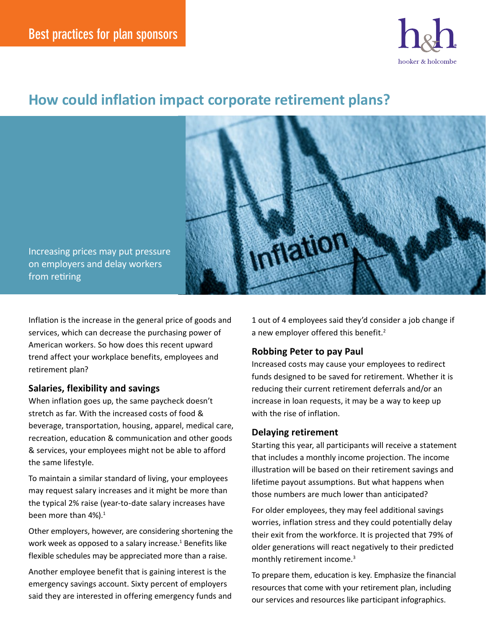

# **How could inflation impact corporate retirement plans?**



Increasing prices may put pressure on employers and delay workers from retiring

Inflation is the increase in the general price of goods and services, which can decrease the purchasing power of American workers. So how does this recent upward trend affect your workplace benefits, employees and retirement plan?

#### **Salaries, flexibility and savings**

When inflation goes up, the same paycheck doesn't stretch as far. With the increased costs of food & beverage, transportation, housing, apparel, medical care, recreation, education & communication and other goods & services, your employees might not be able to afford the same lifestyle.

To maintain a similar standard of living, your employees may request salary increases and it might be more than the typical 2% raise (year-to-date salary increases have been more than  $4\%$ ).<sup>1</sup>

Other employers, however, are considering shortening the work week as opposed to a salary increase.<sup>1</sup> Benefits like flexible schedules may be appreciated more than a raise.

Another employee benefit that is gaining interest is the emergency savings account. Sixty percent of employers said they are interested in offering emergency funds and

1 out of 4 employees said they'd consider a job change if a new employer offered this benefit.<sup>2</sup>

## **Robbing Peter to pay Paul**

Increased costs may cause your employees to redirect funds designed to be saved for retirement. Whether it is reducing their current retirement deferrals and/or an increase in loan requests, it may be a way to keep up with the rise of inflation.

#### **Delaying retirement**

Starting this year, all participants will receive a statement that includes a monthly income projection. The income illustration will be based on their retirement savings and lifetime payout assumptions. But what happens when those numbers are much lower than anticipated?

For older employees, they may feel additional savings worries, inflation stress and they could potentially delay their exit from the workforce. It is projected that 79% of older generations will react negatively to their predicted monthly retirement income.<sup>3</sup>

To prepare them, education is key. Emphasize the financial resources that come with your retirement plan, including our services and resources like participant infographics.